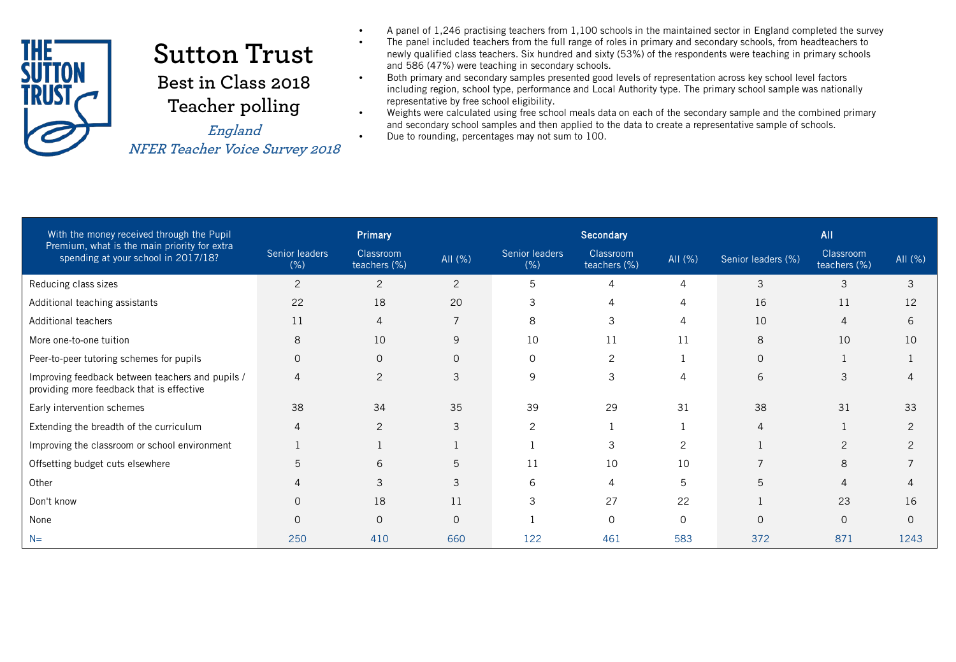

## **Sutton Trust Best in Class 2018 Teacher polling**

**NFER Teacher Voice Survey 2018**

- A panel of 1,246 practising teachers from 1,100 schools in the maintained sector in England completed the survey
- The panel included teachers from the full range of roles in primary and secondary schools, from headteachers to newly qualified class teachers. Six hundred and sixty (53%) of the respondents were teaching in primary schools and 586 (47%) were teaching in secondary schools.
- Both primary and secondary samples presented good levels of representation across key school level factors including region, school type, performance and Local Authority type. The primary school sample was nationally representative by free school eligibility.
- Weights were calculated using free school meals data on each of the secondary sample and the combined primary and secondary school samples and then applied to the data to create a representative sample of schools.<br> **England** • Due to rounding, percentages may not sum to 100.

| With the money received through the Pupil                                                     |                        | Primary                   |                |                        | Secondary                 |          |                    | <b>All</b>                |          |  |  |
|-----------------------------------------------------------------------------------------------|------------------------|---------------------------|----------------|------------------------|---------------------------|----------|--------------------|---------------------------|----------|--|--|
| Premium, what is the main priority for extra<br>spending at your school in 2017/18?           | Senior leaders<br>(% ) | Classroom<br>teachers (%) | All (%)        | Senior leaders<br>(% ) | Classroom<br>teachers (%) | AII (%)  | Senior leaders (%) | Classroom<br>teachers (%) | All (%)  |  |  |
| Reducing class sizes                                                                          | $\overline{2}$         | $\overline{2}$            | 2              | 5                      | 4                         | 4        | 3                  | 3                         | 3        |  |  |
| Additional teaching assistants                                                                | 22                     | 18                        | 20             | 3                      | 4                         | 4        | 16                 | 11                        | 12       |  |  |
| Additional teachers                                                                           | 11                     | 4                         | $\overline{7}$ | 8                      | 3                         | 4        | 10                 | $\Delta$                  | 6        |  |  |
| More one-to-one tuition                                                                       | 8                      | 10                        | 9              | 10                     | 11                        | 11       | 8                  | 10                        | 10       |  |  |
| Peer-to-peer tutoring schemes for pupils                                                      | $\overline{0}$         | $\mathbf{0}$              | $\Omega$       | $\Omega$               | 2                         |          | $\mathbf{O}$       |                           |          |  |  |
| Improving feedback between teachers and pupils /<br>providing more feedback that is effective | $\overline{4}$         | 2                         | 3              | 9                      | 3                         | 4        | 6                  | 3                         | 4        |  |  |
| Early intervention schemes                                                                    | 38                     | 34                        | 35             | 39                     | 29                        | 31       | 38                 | 31                        | 33       |  |  |
| Extending the breadth of the curriculum                                                       | $\overline{4}$         | 2                         | 3              | 2                      |                           |          | 4                  |                           | 2        |  |  |
| Improving the classroom or school environment                                                 |                        |                           |                |                        | 3                         | 2        |                    | 2                         | 2        |  |  |
| Offsetting budget cuts elsewhere                                                              | 5                      | 6                         | 5              | 11                     | 10                        | 10       | $\overline{7}$     | 8                         |          |  |  |
| Other                                                                                         |                        | 3                         | 3              | 6                      | 4                         | 5        | 5                  | 4                         | 4        |  |  |
| Don't know                                                                                    | $\Omega$               | 18                        | 11             | 3                      | 27                        | 22       |                    | 23                        | 16       |  |  |
| None                                                                                          | $\Omega$               | $\Omega$                  | $\Omega$       |                        | $\Omega$                  | $\Omega$ | $\Omega$           | $\Omega$                  | $\Omega$ |  |  |
| $N=$                                                                                          | 250                    | 410                       | 660            | 122                    | 461                       | 583      | 372                | 871                       | 1243     |  |  |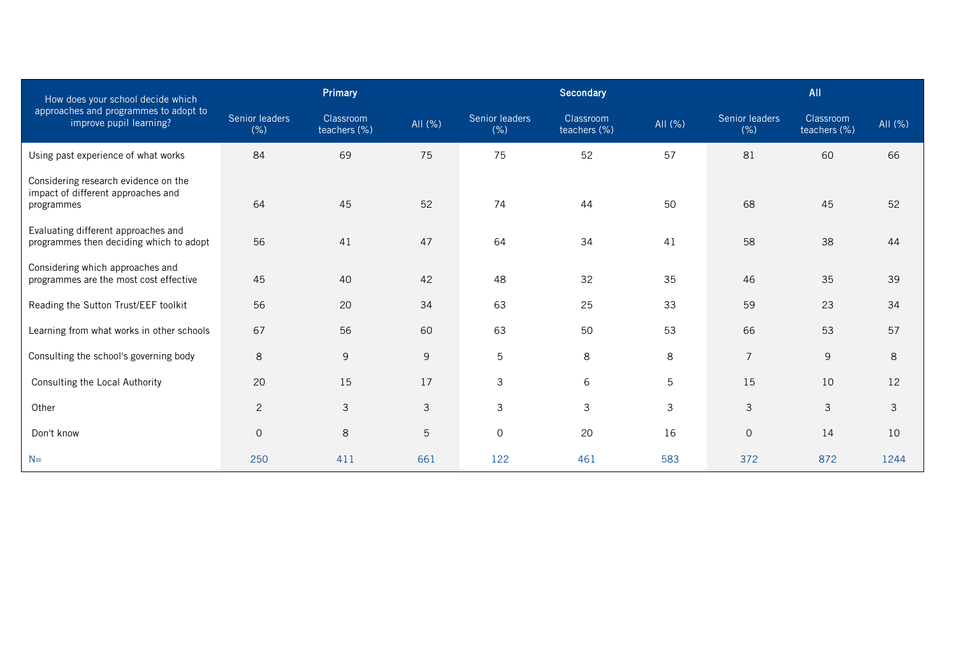| How does your school decide which                                                        |                        | Primary                   |         |                        | Secondary                 |         | <b>All</b>            |                           |         |  |
|------------------------------------------------------------------------------------------|------------------------|---------------------------|---------|------------------------|---------------------------|---------|-----------------------|---------------------------|---------|--|
| approaches and programmes to adopt to<br>improve pupil learning?                         | Senior leaders<br>(% ) | Classroom<br>teachers (%) | AII (%) | Senior leaders<br>(% ) | Classroom<br>teachers (%) | AII (%) | Senior leaders<br>(%) | Classroom<br>teachers (%) | AII (%) |  |
| Using past experience of what works                                                      | 84                     | 69                        | 75      | 75                     | 52                        | 57      | 81                    | 60                        | 66      |  |
| Considering research evidence on the<br>impact of different approaches and<br>programmes | 64                     | 45                        | 52      | 74                     | 44                        | 50      | 68                    | 45                        | 52      |  |
| Evaluating different approaches and<br>programmes then deciding which to adopt           | 56                     | 41                        | 47      | 64                     | 34                        | 41      | 58                    | 38                        | 44      |  |
| Considering which approaches and<br>programmes are the most cost effective               | 45                     | 42<br>48<br>32<br>40      |         |                        | 35                        | 46      | 35                    | 39                        |         |  |
| Reading the Sutton Trust/EEF toolkit                                                     | 56                     | 20                        | 34      | 63                     | 25                        | 33      | 59                    | 23                        | 34      |  |
| Learning from what works in other schools                                                | 67                     | 56                        | 60      | 63                     | 50                        | 53      | 66                    | 53                        | 57      |  |
| Consulting the school's governing body                                                   | 8                      | 9                         | 9       | 5                      | 8                         | 8       | $\overline{7}$        | 9                         | 8       |  |
| Consulting the Local Authority                                                           | 20                     | 15                        | 17      | 3                      | 6                         | 5       | 15                    | 10                        | 12      |  |
| Other                                                                                    | 2                      | 3                         | 3       | 3                      | 3                         | 3       | 3                     | 3                         | 3       |  |
| Don't know                                                                               | $\mathbf{O}$           | 8                         | 5       | $\mathbf 0$            | 20                        | 16      | $\mathbf 0$           | 14                        | 10      |  |
| $N=$                                                                                     | 250                    | 411                       | 661     | 122                    | 461                       | 583     | 372                   | 872                       | 1244    |  |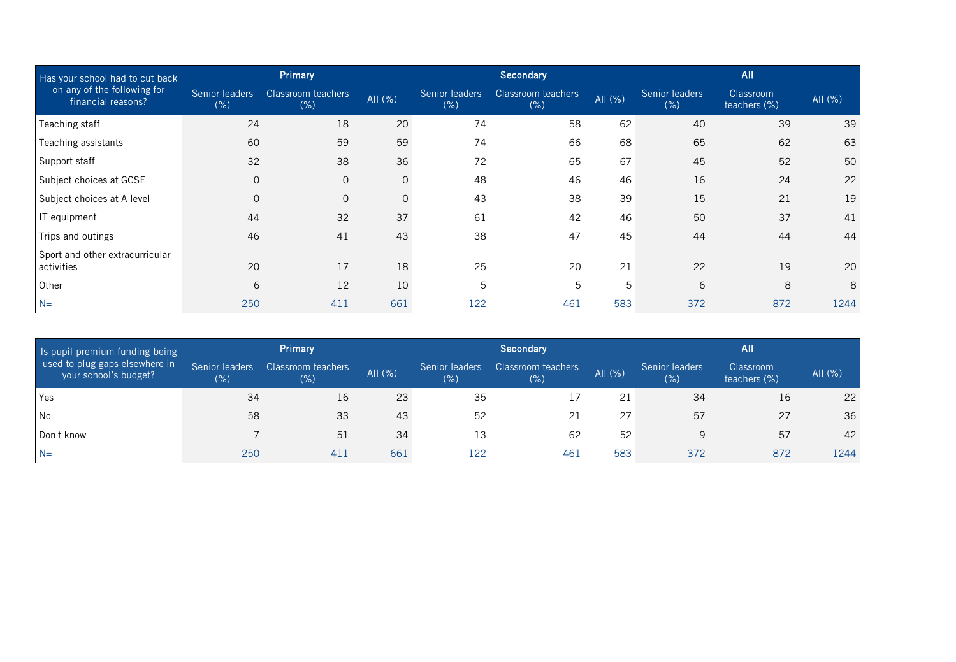| Has your school had to cut back                   |                                                      | Primary      |          |                        | Secondary                         |         | All                   |                           |         |  |  |
|---------------------------------------------------|------------------------------------------------------|--------------|----------|------------------------|-----------------------------------|---------|-----------------------|---------------------------|---------|--|--|
| on any of the following for<br>financial reasons? | Senior leaders<br>Classroom teachers<br>(% )<br>(% ) |              | AII (%)  | Senior leaders<br>(% ) | <b>Classroom teachers</b><br>(% ) | AII (%) | Senior leaders<br>(%) | Classroom<br>teachers (%) | All (%) |  |  |
| Teaching staff                                    | 24                                                   | 18           | 20       | 74                     | 58                                | 62      | 40                    | 39                        | 39      |  |  |
| Teaching assistants                               | 60                                                   | 59           | 59       | 74                     | 66                                | 68      | 65                    | 62                        | 63      |  |  |
| Support staff                                     | 32                                                   | 38           | 36       | 72                     | 65                                | 67      | 45                    | 52                        | 50      |  |  |
| Subject choices at GCSE                           | $\mathbf{O}$                                         | $\mathbf 0$  | $\Omega$ | 48                     | 46                                | 46      | 16                    | 24                        | 22      |  |  |
| Subject choices at A level                        | $\mathbf{0}$                                         | $\mathbf{O}$ | $\Omega$ | 43                     | 38                                | 39      | 15                    | 21                        | 19      |  |  |
| IT equipment                                      | 44                                                   | 32           | 37       | 61                     | 42                                | 46      | 50                    | 37                        | 41      |  |  |
| Trips and outings                                 | 46                                                   | 41           | 43       | 38                     | 47                                | 45      | 44                    | 44                        | 44      |  |  |
| Sport and other extracurricular<br>activities     | 20                                                   | 17           | 18       | 25                     | 20                                | 21      | 22                    | 19                        | 20      |  |  |
| Other                                             | 6                                                    | 12           | 10       | 5                      | 5                                 | 5       | 6                     | 8                         | 8       |  |  |
| $N=$                                              | 250                                                  | 411          | 661      | 122                    | 461                               | 583     | 372                   | 872                       | 1244    |  |  |

| Is pupil premium funding being                          |                        | <b>Primary</b>             |         |                        | Secondary                  |         | <b>All</b>             |                           |         |  |  |
|---------------------------------------------------------|------------------------|----------------------------|---------|------------------------|----------------------------|---------|------------------------|---------------------------|---------|--|--|
| used to plug gaps elsewhere in<br>your school's budget? | Senior leaders<br>(% ) | Classroom teachers<br>(% ) | All (%) | Senior leaders<br>(% ) | Classroom teachers<br>(% ) | AII (%) | Senior leaders<br>(% ) | Classroom<br>teachers (%) | All (%) |  |  |
| Yes                                                     | 34                     | 16                         | 23      | 35                     |                            | 21      | 34                     | 16                        | 22      |  |  |
| l No                                                    | 58                     | 33                         | 43      | 52                     | 21                         | 27      | 57                     | 27                        | 36      |  |  |
| l Don't know                                            |                        | 51                         | 34      | 13                     | 62                         | 52      | 9                      | 57                        | 42      |  |  |
| $N=$                                                    | 250                    | 411                        | 661     | 122                    | 461                        | 583     | 372                    | 872                       | 1244    |  |  |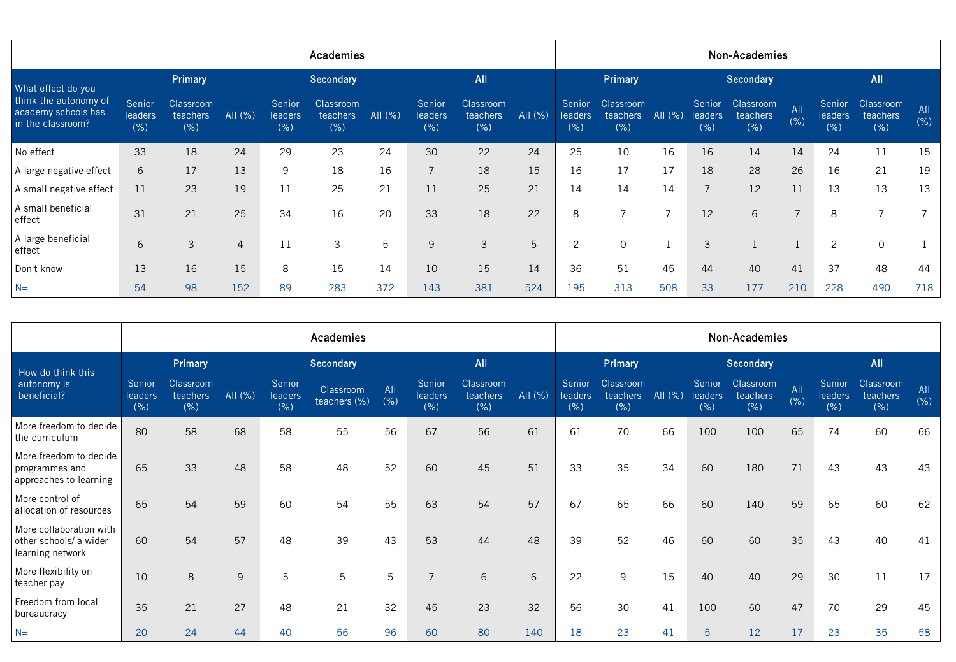|                                                                   | Academies                |                               |                |                           |                                      |            |                           |                                     |         | Non-Academies             |                               |                |                           |                               |                |                           |                              |             |  |
|-------------------------------------------------------------------|--------------------------|-------------------------------|----------------|---------------------------|--------------------------------------|------------|---------------------------|-------------------------------------|---------|---------------------------|-------------------------------|----------------|---------------------------|-------------------------------|----------------|---------------------------|------------------------------|-------------|--|
| What effect do you                                                |                          | Primary                       |                |                           | <b>Secondary</b>                     |            |                           | <b>All</b>                          |         |                           | Primary                       |                |                           | Secondary                     |                |                           | <b>All</b>                   |             |  |
| think the autonomy of<br>academy schools has<br>in the classroom? | Senior<br>leaders<br>(%) | Classroom<br>teachers<br>(% ) | All $(\%)$     | Senior<br>leaders<br>(% ) | Classroom<br><b>teachers</b><br>(% ) | All $(\%)$ | Senior<br>leaders<br>(% ) | <b>Classroom</b><br>teachers<br>(%) | AII (%) | Senior<br>leaders<br>(% ) | Classroom<br>teachers<br>(% ) | All (%)        | Senior<br>leaders<br>(% ) | Classroom<br>teachers<br>(% ) | All<br>(% )    | Senior<br>leaders<br>(% ) | Classroom<br>teachers<br>(%) | All<br>(% ) |  |
| No effect                                                         | 33                       | 18                            | 24             | 29                        | 23                                   | 24         | 30                        | 22                                  | 24      | 25                        | 10                            | 16             | 16                        | 14                            | 14             | 24                        | 11                           | 15          |  |
| A large negative effect                                           | 6                        | 17                            | 13             | 9                         | 18                                   | 16         | $\overline{7}$            | 18                                  | 15      | 16                        | 17                            | 17             | 18                        | 28                            | 26             | 16                        | 21                           | 19          |  |
| A small negative effect                                           | 11                       | 23                            | 19             | 11                        | 25                                   | 21         | 11                        | 25                                  | 21      | 14                        | 14                            | 14             | $\overline{7}$            | 12                            | 11             | 13                        | 13                           | 13          |  |
| A small beneficial<br>effect                                      | 31                       | 21                            | 25             | 34                        | 16                                   | 20         | 33                        | 18                                  | 22      | 8                         | $\overline{ }$                | $\overline{7}$ | 12                        | 6                             | $\overline{7}$ | 8                         | $\overline{ }$               |             |  |
| A large beneficial<br>effect                                      | 6                        | 3                             | $\overline{4}$ | 11                        | 3                                    | 5          | 9                         | 3                                   | 5       | 2                         | 0                             |                | 3                         |                               |                | 2                         | $\mathbf 0$                  |             |  |
| Don't know                                                        | 13                       | 16                            | 15             | 8                         | 15                                   | 14         | 10                        | 15                                  | 14      | 36                        | 51                            | 45             | 44                        | 40                            | 41             | 37                        | 48                           | 44          |  |
| $N=$                                                              | 54                       | 98                            | 152            | 89                        | 283                                  | 372        | 143                       | 381                                 | 524     | 195                       | 313                           | 508            | 33                        | 177                           | 210            | 228                       | 490                          | 718         |  |

|                                                                       |                          | Academies                    |            |                           |                           |             |                           |                                      |         |                                 | Non-Academies                |         |                          |                               |             |                                  |                               |             |
|-----------------------------------------------------------------------|--------------------------|------------------------------|------------|---------------------------|---------------------------|-------------|---------------------------|--------------------------------------|---------|---------------------------------|------------------------------|---------|--------------------------|-------------------------------|-------------|----------------------------------|-------------------------------|-------------|
| How do think this                                                     |                          | Primary                      |            |                           | <b>Secondary</b>          |             |                           | All                                  |         |                                 | Primary                      |         |                          | Secondary                     |             |                                  | All                           |             |
| autonomy is<br>beneficial?                                            | Senior<br>leaders<br>(%) | Classroom<br>teachers<br>(%) | All $(\%)$ | Senior<br>leaders<br>(% ) | Classroom<br>teachers (%) | AII<br>(% ) | Senior<br>leaders<br>(% ) | <b>Classroom</b><br>teachers<br>(% ) | All (%) | Senior<br><b>leaders</b><br>(%) | Classroom<br>teachers<br>(%) | All (%) | Senior<br>leaders<br>(%) | Classroom<br>teachers<br>(% ) | All<br>(% ) | Senior<br><b>leaders</b><br>(% ) | Classroom<br>teachers<br>(% ) | All<br>(% ) |
| More freedom to decide<br>the curriculum                              | 80                       | 58                           | 68         | 58                        | 55                        | 56          | 67                        | 56                                   | 61      | 61                              | 70                           | 66      | 100                      | 100                           | 65          | 74                               | 60                            | 66          |
| More freedom to decide<br>programmes and<br>approaches to learning    | 65                       | 33                           | 48         | 58                        | 48                        | 52          | 60                        | 45                                   | 51      | 33                              | 35                           | 34      | 60                       | 180                           | 71          | 43                               | 43                            | 43          |
| More control of<br>allocation of resources                            | 65                       | 54                           | 59         | 60                        | 54                        | 55          | 63                        | 54                                   | 57      | 67                              | 65                           | 66      | 60                       | 140                           | 59          | 65                               | 60                            | 62          |
| More collaboration with<br>other schools/ a wider<br>learning network | 60                       | 54                           | 57         | 48                        | 39                        | 43          | 53                        | 44                                   | 48      | 39                              | 52                           | 46      | 60                       | 60                            | 35          | 43                               | 40                            | 41          |
| More flexibility on<br>teacher pay                                    | 10                       | $\,8\,$                      | 9          | 5                         | 5                         | 5           | $\overline{7}$            | 6                                    | 6       | 22                              | 9                            | 15      | 40                       | 40                            | 29          | 30                               | 11                            | 17          |
| Freedom from local<br>bureaucracy                                     | 35                       | 21                           | 27         | 48                        | 21                        | 32          | 45                        | 23                                   | 32      | 56                              | 30                           | 41      | 100                      | 60                            | 47          | 70                               | 29                            | 45          |
| $N=$                                                                  | 20                       | 24                           | 44         | 40                        | 56                        | 96          | 60                        | 80                                   | 140     | 18                              | 23                           | 41      | 5                        | 12                            | 17          | 23                               | 35                            | 58          |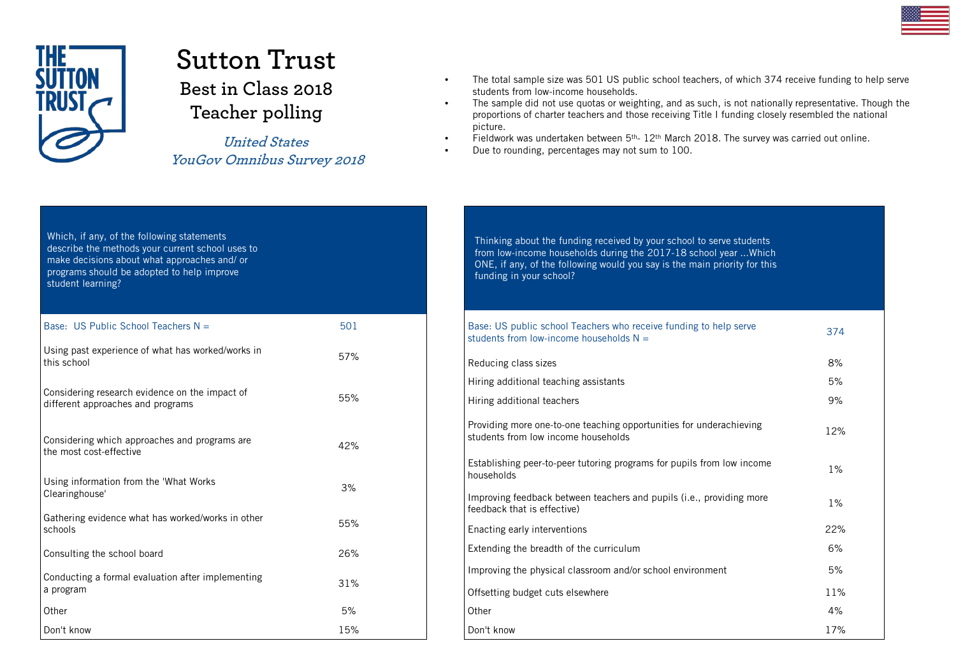

## **Sutton Trust Best in Class 2018 Teacher polling**

**United States YouGov Omnibus Survey 2018**

- The total sample size was 501 US public school teachers, of which 374 receive funding to help serve students from low-income households.
- The sample did not use quotas or weighting, and as such, is not nationally representative. Though the proportions of charter teachers and those receiving Title I funding closely resembled the national picture.
- Fieldwork was undertaken between 5th- 12th March 2018. The survey was carried out online.
- Due to rounding, percentages may not sum to 100.

| Which, if any, of the following statements<br>describe the methods your current school uses to<br>make decisions about what approaches and/ or<br>programs should be adopted to help improve<br>student learning? |     |
|-------------------------------------------------------------------------------------------------------------------------------------------------------------------------------------------------------------------|-----|
| Base: US Public School Teachers $N =$                                                                                                                                                                             | 501 |
| Using past experience of what has worked/works in<br>this school                                                                                                                                                  | 57% |
| Considering research evidence on the impact of<br>different approaches and programs                                                                                                                               | 55% |
| Considering which approaches and programs are<br>the most cost-effective                                                                                                                                          | 42% |
| Using information from the 'What Works<br>Clearinghouse'                                                                                                                                                          | 3%  |
| Gathering evidence what has worked/works in other<br>schools                                                                                                                                                      | 55% |
| Consulting the school board                                                                                                                                                                                       | 26% |
| Conducting a formal evaluation after implementing<br>a program                                                                                                                                                    | 31% |
| Other                                                                                                                                                                                                             | 5%  |
| Don't know                                                                                                                                                                                                        | 15% |

Thinking about the funding received by your school to serve students from low-income households during the 2017-18 school year ...Which ONE, if any, of the following would you say is the main priority for this funding in your school?

| Base: US public school Teachers who receive funding to help serve<br>students from low-income households $N =$ | 374   |
|----------------------------------------------------------------------------------------------------------------|-------|
| Reducing class sizes                                                                                           | 8%    |
| Hiring additional teaching assistants                                                                          | 5%    |
| Hiring additional teachers                                                                                     | 9%    |
| Providing more one-to-one teaching opportunities for underachieving<br>students from low income households     | 12%   |
| Establishing peer-to-peer tutoring programs for pupils from low income<br>households                           | 1%    |
| Improving feedback between teachers and pupils ( <i>i.e.</i> , providing more<br>feedback that is effective)   | $1\%$ |
| Enacting early interventions                                                                                   | 22%   |
| Extending the breadth of the curriculum                                                                        | 6%    |
| Improving the physical classroom and/or school environment                                                     | 5%    |
| Offsetting budget cuts elsewhere                                                                               | 11%   |
| Other                                                                                                          | 4%    |
| Don't know                                                                                                     | 17%   |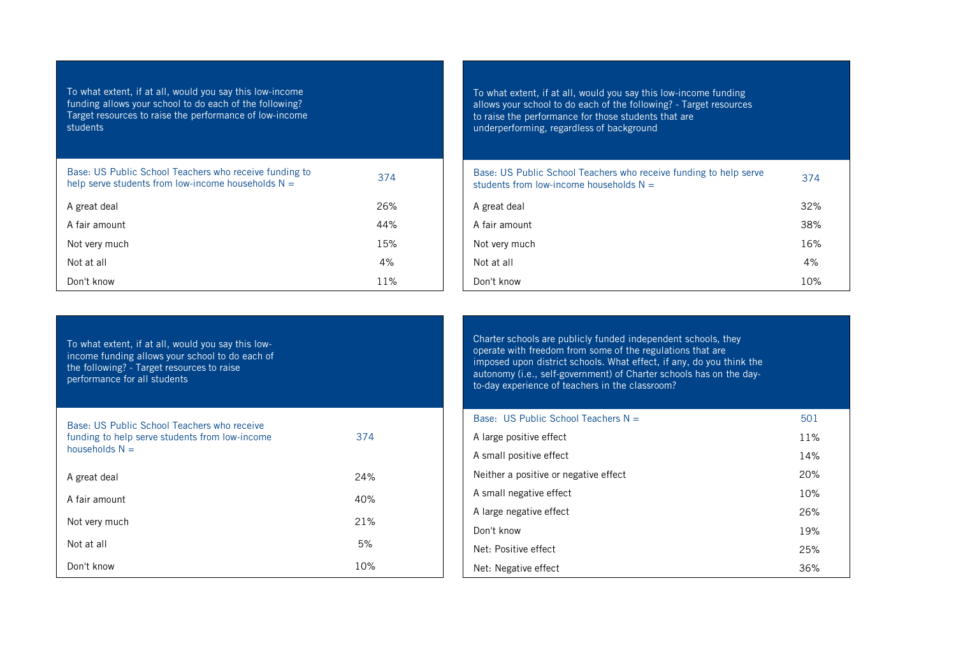To what extent, if at all, would you say this low-income funding allows your school to do each of the following? Target resources to raise the performance of low-income students

| Base: US Public School Teachers who receive funding to<br>help serve students from low-income households $N =$ | 374 |
|----------------------------------------------------------------------------------------------------------------|-----|
| A great deal                                                                                                   | 26% |
| A fair amount                                                                                                  | 44% |
| Not very much                                                                                                  | 15% |
| Not at all                                                                                                     | 4%  |
| Don't know                                                                                                     | 11% |

To what extent, if at all, would you say this low-income funding allows your school to do each of the following? - Target resources to raise the performance for those students that are underperforming, regardless of background

| Base: US Public School Teachers who receive funding to help serve<br>students from low-income households $N =$ | 374 |
|----------------------------------------------------------------------------------------------------------------|-----|
| A great deal                                                                                                   | 32% |
| A fair amount                                                                                                  | 38% |
| Not very much                                                                                                  | 16% |
| Not at all                                                                                                     | 4%  |
| Don't know                                                                                                     | 10% |

| To what extent, if at all, would you say this low-<br>income funding allows your school to do each of<br>the following? - Target resources to raise<br>performance for all students |     |
|-------------------------------------------------------------------------------------------------------------------------------------------------------------------------------------|-----|
| Base: US Public School Teachers who receive<br>funding to help serve students from low-income<br>households $N =$                                                                   | 374 |
| A great deal                                                                                                                                                                        | 24% |
| A fair amount                                                                                                                                                                       | 40% |
| Not very much                                                                                                                                                                       | 21% |
| Not at all                                                                                                                                                                          | 5%  |
| Don't know                                                                                                                                                                          | 10% |

Charter schools are publicly funded independent schools, they operate with freedom from some of the regulations that are imposed upon district schools. What effect, if any, do you think the autonomy (i.e., self-government) of Charter schools has on the dayto-day experience of teachers in the classroom?

| Base: US Public School Teachers $N =$ | 501 |
|---------------------------------------|-----|
| A large positive effect               | 11% |
| A small positive effect               | 14% |
| Neither a positive or negative effect | 20% |
| A small negative effect               | 10% |
| A large negative effect               | 26% |
| Don't know                            | 19% |
| Net: Positive effect                  | 25% |
| Net: Negative effect                  | 36% |